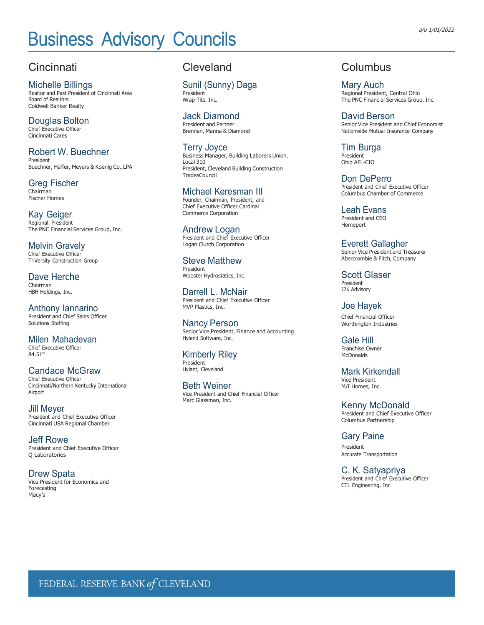# Business Advisory Councils **Business Advisory Councils**

# **Cincinnati**

Michelle Billings Realtor and Past President of Cincinnati Area Board of Realtors Coldwell Banker Realty

Douglas Bolton Chief Executive Officer Cincinnati Cares

Robert W. Buechner President Buechner, Haffer, Meyers & Koenig Co.,LPA

Greg Fischer Chairman Fischer Homes

Kay Geiger Regional President The PNC Financial Services Group, Inc.

Melvin Gravely Chief Executive Officer TriVersity Construction Group

Dave Herche Chairman HBH Holdings, Inc.

Anthony Iannarino President and Chief Sales Officer Solutions Staffing

Milen Mahadevan Chief Executive Officer 84.51°

Candace McGraw Chief Executive Officer Cincinnati/Northern Kentucky International Airport

Jill Meyer President and Chief Executive Officer Cincinnati USA Regional Chamber

Jeff Rowe President and Chief Executive Officer Q Laboratories

Drew Spata Vice President for Economics and Forecasting Macy's

### **Cleveland**

Sunil (Sunny) Daga President

Wrap-Tite, Inc.

Jack Diamond President and Partner Brennan, Manna & Diamond

Terry Joyce Business Manager, Building Laborers Union, Local 310 President, Cleveland Building Construction **TradesCouncil** 

#### Michael Keresman III Founder, Chairman, President, and

Chief Executive Officer Cardinal Commerce Corporation

Andrew Logan President and Chief Executive Officer Logan Clutch Corporation

Steve Matthew President Wooster Hydrostatics, Inc.

Darrell L. McNair President and Chief Executive Officer MVP Plastics, Inc.

Nancy Person Senior Vice President, Finance and Accounting Hyland Software, Inc.

Kimberly Riley President Hylant, Cleveland

Beth Weiner Vice President and Chief Financial Officer Marc Glassman, Inc.

## Columbus

Mary Auch Regional President, Central Ohio The PNC Financial Services Group, Inc.

David Berson Senior Vice President and Chief Economist Nationwide Mutual Insurance Company

Tim Burga President Ohio AFL-CIO

Don DePerro President and Chief Executive Officer Columbus Chamber of Commerce

Leah Evans President and CEO Homeport

Everett Gallagher Senior Vice President and Treasurer Abercrombie & Fitch, Company

Scott Glaser President J2K Advisory

Joe Hayek Chief Financial Officer Worthington Industries

Gale Hill Franchise Owner McDonalds

Mark Kirkendall Vice President M/I Homes, Inc.

Kenny McDonald President and Chief Executive Officer Columbus Partnership

Gary Paine President Accurate Transportation

C. K. Satyapriya President and Chief Executive Officer CTL Engineering, Inc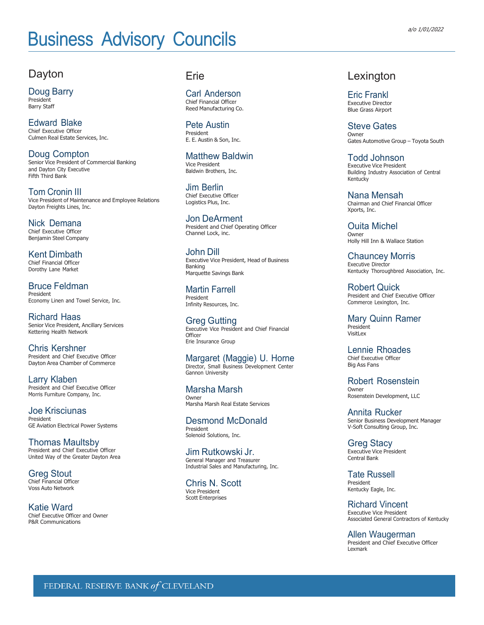# Business Advisory Councils **Business Advisory Councils**

### Dayton

Doug Barry President Barry Staff

Edward Blake Chief Executive Officer Culmen Real Estate Services, Inc.

Doug Compton Senior Vice President of Commercial Banking and Dayton City Executive Fifth Third Bank

Tom Cronin III Vice President of Maintenance and Employee Relations Dayton Freights Lines, Inc.

Nick Demana Chief Executive Officer Benjamin Steel Company

Kent Dimbath Chief Financial Officer Dorothy Lane Market

Bruce Feldman President Economy Linen and Towel Service, Inc.

Richard Haas Senior Vice President, Ancillary Services Kettering Health Network

Chris Kershner President and Chief Executive Officer Dayton Area Chamber of Commerce

Larry Klaben President and Chief Executive Officer Morris Furniture Company, Inc.

Joe Krisciunas President GE Aviation Electrical Power Systems

Thomas Maultsby President and Chief Executive Officer United Way of the Greater Dayton Area

Greg Stout Chief Financial Officer Voss Auto Network

Katie Ward Chief Executive Officer and Owner P&R Communications

#### Erie

Carl Anderson Chief Financial Officer Reed Manufacturing Co.

Pete Austin President E. E. Austin & Son, Inc.

Matthew Baldwin Vice President Baldwin Brothers, Inc.

Jim Berlin Chief Executive Officer Logistics Plus, Inc.

Jon DeArment President and Chief Operating Officer Channel Lock, inc.

John Dill Executive Vice President, Head of Business Banking Marquette Savings Bank

Martin Farrell President Infinity Resources, Inc.

Greg Gutting Executive Vice President and Chief Financial **Officer** Erie Insurance Group

Margaret (Maggie) U. Horne Director, Small Business Development Center Gannon University

Marsha Marsh **Owner** Marsha Marsh Real Estate Services

Desmond McDonald President Solenoid Solutions, Inc.

Jim Rutkowski Jr. General Manager and Treasurer Industrial Sales and Manufacturing, Inc.

Chris N. Scott Vice President Scott Enterprises

#### Lexington

Eric Frankl Executive Director Blue Grass Airport

Steve Gates **Owner** Gates Automotive Group – Toyota South

Todd Johnson Executive Vice President Building Industry Association of Central Kentucky

Nana Mensah Chairman and Chief Financial Officer Xports, Inc.

Ouita Michel Owner Holly Hill Inn & Wallace Station

Chauncey Morris Executive Director Kentucky Thoroughbred Association, Inc.

Robert Quick President and Chief Executive Officer Commerce Lexington, Inc.

Mary Quinn Ramer President Visitl<sub>ex</sub>

Lennie Rhoades Chief Executive Officer Big Ass Fans

Robert Rosenstein Owner Rosenstein Development, LLC

Annita Rucker Senior Business Development Manager V-Soft Consulting Group, Inc.

Greg Stacy Executive Vice President Central Bank

Tate Russell President Kentucky Eagle, Inc.

Richard Vincent Executive Vice President Associated General Contractors of Kentucky

Allen Waugerman President and Chief Executive Officer Lexmark